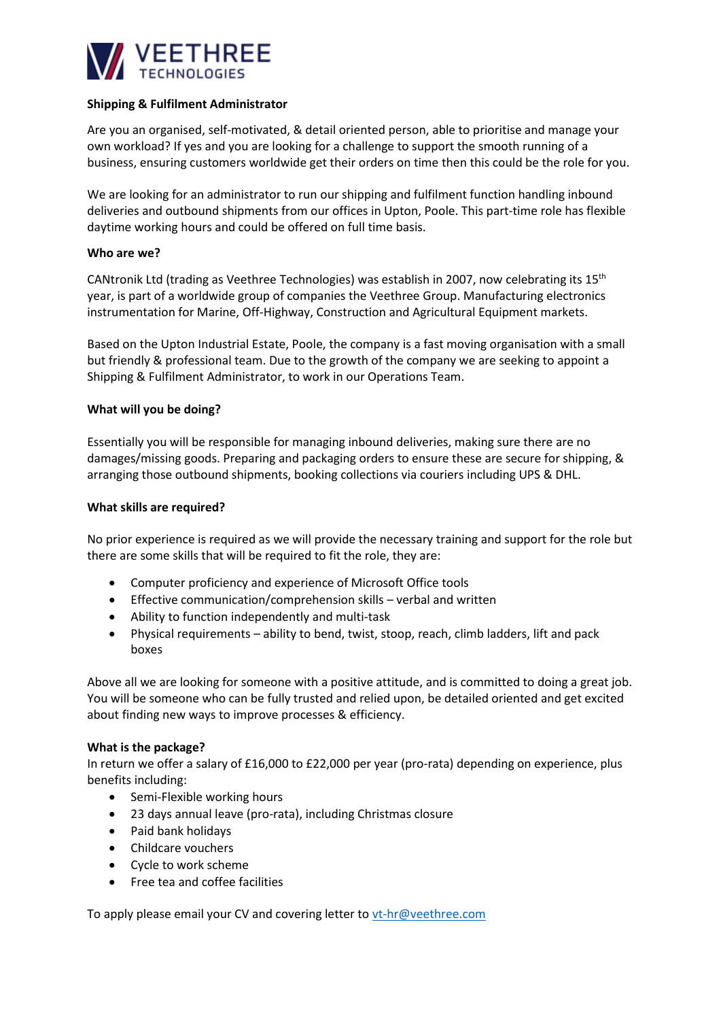

# **Shipping & Fulfilment Administrator**

Are you an organised, self-motivated, & detail oriented person, able to prioritise and manage your own workload? If yes and you are looking for a challenge to support the smooth running of a business, ensuring customers worldwide get their orders on time then this could be the role for you.

We are looking for an administrator to run our shipping and fulfilment function handling inbound deliveries and outbound shipments from our offices in Upton, Poole. This part-time role has flexible daytime working hours and could be offered on full time basis.

## **Who are we?**

CANtronik Ltd (trading as Veethree Technologies) was establish in 2007, now celebrating its 15th year, is part of a worldwide group of companies the Veethree Group. Manufacturing electronics instrumentation for Marine, Off-Highway, Construction and Agricultural Equipment markets.

Based on the Upton Industrial Estate, Poole, the company is a fast moving organisation with a small but friendly & professional team. Due to the growth of the company we are seeking to appoint a Shipping & Fulfilment Administrator, to work in our Operations Team.

# **What will you be doing?**

Essentially you will be responsible for managing inbound deliveries, making sure there are no damages/missing goods. Preparing and packaging orders to ensure these are secure for shipping, & arranging those outbound shipments, booking collections via couriers including UPS & DHL.

### **What skills are required?**

No prior experience is required as we will provide the necessary training and support for the role but there are some skills that will be required to fit the role, they are:

- Computer proficiency and experience of Microsoft Office tools
- Effective communication/comprehension skills verbal and written
- Ability to function independently and multi-task
- Physical requirements ability to bend, twist, stoop, reach, climb ladders, lift and pack boxes

Above all we are looking for someone with a positive attitude, and is committed to doing a great job. You will be someone who can be fully trusted and relied upon, be detailed oriented and get excited about finding new ways to improve processes & efficiency.

# **What is the package?**

In return we offer a salary of £16,000 to £22,000 per year (pro-rata) depending on experience, plus benefits including:

- Semi-Flexible working hours
- 23 days annual leave (pro-rata), including Christmas closure
- Paid bank holidays
- Childcare vouchers
- Cycle to work scheme
- Free tea and coffee facilities

To apply please email your CV and covering letter to [vt-hr@veethree.com](mailto:vt-hr@veethree.com)